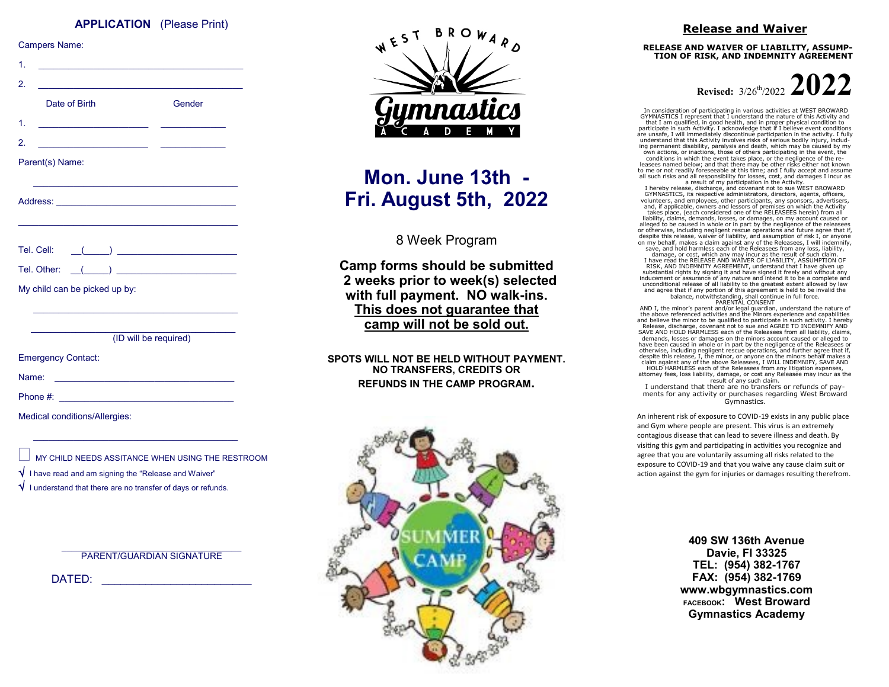#### **APPLICATION** (Please Print)

| <b>Campers Name:</b>                                                                                                       |                                                             |
|----------------------------------------------------------------------------------------------------------------------------|-------------------------------------------------------------|
| 1.                                                                                                                         |                                                             |
| 2.<br>the control of the control of the control of the control of the control of the control of<br>Date of Birth           | Gender                                                      |
| 1.<br><u> 1980 - Jan Stein Stein Stein Stein Stein Stein Stein Stein Stein Stein Stein Stein Stein Stein Stein Stein S</u> |                                                             |
| 2.<br><u> 1989 - Johann Barbara, martxa al</u>                                                                             |                                                             |
| Parent(s) Name:                                                                                                            |                                                             |
|                                                                                                                            |                                                             |
|                                                                                                                            |                                                             |
|                                                                                                                            | Tel. Cell: ((e) 2000)                                       |
|                                                                                                                            |                                                             |
| My child can be picked up by:                                                                                              |                                                             |
|                                                                                                                            | <u> 1989 - Johann Stoff, amerikansk politiker (d. 1989)</u> |
|                                                                                                                            | (ID will be required)                                       |
| <b>Emergency Contact:</b>                                                                                                  |                                                             |
| Name:                                                                                                                      |                                                             |
|                                                                                                                            |                                                             |
| Medical conditions/Allergies:                                                                                              |                                                             |
|                                                                                                                            | MY CHILD NEEDS ASSITANCE WHEN USING THE RESTROOM            |

- I have read and am signing the "Release and Waiver"
- I understand that there are no transfer of days or refunds.

 $\mathcal{L}_\text{max}$ PARENT/GUARDIAN SIGNATURE

DATED: \_\_\_\_\_\_\_\_\_\_\_\_\_\_\_\_\_\_\_\_\_\_\_\_



# **Mon. June 13th - Fri. August 5th, 2022**

8 Week Program

**Camp forms should be submitted 2 weeks prior to week(s) selected with full payment. NO walk-ins. This does not guarantee that camp will not be sold out.**

**SPOTS WILL NOT BE HELD WITHOUT PAYMENT. NO TRANSFERS, CREDITS OR REFUNDS IN THE CAMP PROGRAM.**



#### **Release and Waiver**

**RELEASE AND WAIVER OF LIABILITY, ASSUMP-TION OF RISK, AND INDEMNITY AGREEMENT** 

**Revised:**  $3/26^{th}/2022$ 

In consideration of participating in various activities at WEST BROWARD GYMNASTICS I represent that I understand the nature of this Activity and that I am qualified, in good health, and in proper physical condition to participate in such Activity. I acknowledge that if I believe event conditions are unsafe, I will immediately discontinue participation in the activity. I fully understand that this Activity involves risks of serious bodily injury, including permanent disability, paralysis and death, which may be caused by my own actions, or inactions, those of others participating in the event, the conditions in which the event takes place, or the negligence of the releasees named below; and that there may be other risks either not known to me or not readily foreseeable at this time; and I fully accept and assume all such risks and all responsibility for losses, cost, and damages I incur as

a result of my participation in the Activity. I hereby release, discharge, and covenant not to sue WEST BROWARD GYMNASTICS, its respective administrators, directors, agents, officers, volunteers, and employees, other participants, any sponsors, advertisers, and, if applicable, owners and lessors of premises on which the Activity takes place, (each considered one of the RELEASEES herein) from all liability, claims, demands, losses, or damages, on my account caused or alleged to be caused in whole or in part by the negligence of the releasees or otherwise, including negligent rescue operations and future agree that if, despite this release, waiver of liability, and assumption of risk I, or anyone on my behalf, makes a claim against any of the Releasees, I will indemnify, save, and hold harmless each of the Releasees from any loss, liability, damage, or cost, which any may incur as the result of such claim.

I have read the RELEASE AND WAIVER OF LIABILITY, ASSUMPTION OF RISK, AND INDEMNITY AGREEMENT, understand that I have given up substantial rights by signing it and have signed it freely and without any inducement or assurance of any nature and intend it to be a complete and unconditional release of all liability to the greatest extent allowed by law and agree that if any portion of this agreement is held to be invalid the balance, notwithstanding, shall continue in full force. PARENTAL CONSENT

AND I, the minor's parent and/or legal guardian, understand the nature of the above referenced activities and the Minors experience and capabilities and believe the minor to be qualified to participate in such activity. I hereby Release, discharge, covenant not to sue and AGREE TO INDEMNIFY AND SAVE AND HOLD HARMLESS each of the Releasees from all liability, claims, demands, losses or damages on the minors account caused or alleged to have been caused in whole or in part by the negligence of the Releasees or otherwise, including negligent rescue operations, and further agree that if, despite this release, I, the minor, or anyone on the minors behalf makes a claim against any of the above Releasees, I WILL INDEMNIFY, SAVE AND HOLD HARMLESS each of the Releasees from any litigation expenses, attorney fees, loss liability, damage, or cost any Releasee may incur as the

result of any such claim. I understand that there are no transfers or refunds of payments for any activity or purchases regarding West Broward Gymnastics.

An inherent risk of exposure to COVID-19 exists in any public place and Gym where people are present. This virus is an extremely contagious disease that can lead to severe illness and death. By visiting this gym and participating in activities you recognize and agree that you are voluntarily assuming all risks related to the exposure to COVID-19 and that you waive any cause claim suit or action against the gym for injuries or damages resulting therefrom.

> **409 SW 136th Avenue Davie, Fl 33325 TEL: (954) 382-1767 FAX: (954) 382-1769 www.wbgymnastics.com FACEBOOK: West Broward Gymnastics Academy**